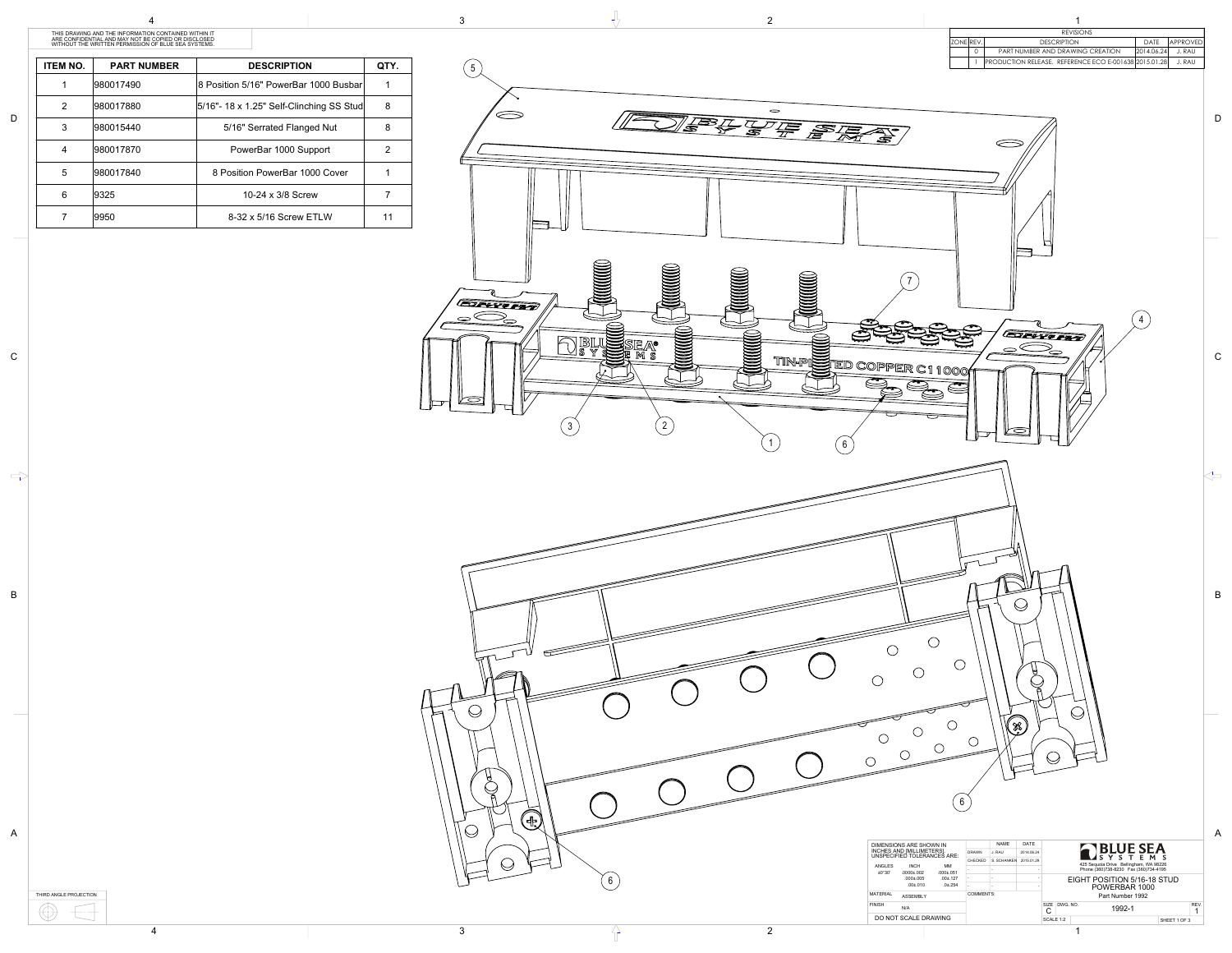

THIRD ANGLE PROJECTION  $\bigoplus$  $\left| \rule{0.2cm}{0.4cm} \right|$ 

| <b>ITEM NO.</b> | <b>PART NUMBER</b> | <b>DESCRIPTION</b>                          | QTY. |
|-----------------|--------------------|---------------------------------------------|------|
|                 | 980017490          | 8 Position 5/16" PowerBar 1000 Busbar       |      |
| 2               | 980017880          | $5/16"$ - 18 x 1.25" Self-Clinching SS Stud | 8    |
| 3               | 980015440          | 5/16" Serrated Flanged Nut                  | 8    |
| 4               | 980017870          | PowerBar 1000 Support                       | 2    |
| 5               | 980017840          | 8 Position PowerBar 1000 Cover              |      |
| 6               | 9325               | 10-24 x 3/8 Screw                           |      |
|                 | 9950               | 8-32 x 5/16 Screw ETLW                      |      |

A

B

C

 $\Rightarrow$ 

D

THIS DRAWING AND THE INFORMATION CONTAINED WITHIN IT ARE CONFIDENTIAL AND MAY NOT BE COPIED OR DISCLOSED WITHOUT THE WRITTEN PERMISSION OF BLUE SEA SYSTEMS.



| DIMENSIONS ARE SHOWN IN<br>INCHES AND [MILLIMETERS].<br>UNSPECIFIED TOLERANCES ARE: |                               |                     | <b>NAME</b> | DATE       | <b>IBLUE SEA</b> |                                        |                              |                             |  |
|-------------------------------------------------------------------------------------|-------------------------------|---------------------|-------------|------------|------------------|----------------------------------------|------------------------------|-----------------------------|--|
|                                                                                     |                               | <b>DRAWN</b>        | J. RAU      | 2014.06.24 |                  |                                        | Y S T<br>$E_{\rm{B}}$<br>M S |                             |  |
|                                                                                     |                               | CHECKED             | S. SCHANKEN | 2015.01.29 |                  | 425 Sequoia Drive Bellingham, WA 98226 |                              |                             |  |
| ANGLES<br>$\pm 0^{\circ}30'$                                                        | <b>INCH</b><br>$.0000 + .002$ | MМ<br>$.000 + .051$ |             |            |                  | Phone (360)738-8230 Fax (360)734-4195  |                              |                             |  |
|                                                                                     | $.000 \pm .005$               | $.00 \pm .127$      |             |            |                  |                                        |                              | EIGHT POSITION 5/16-18 STUD |  |
|                                                                                     | $.00 + .010$                  | $.0 + .254$         |             |            |                  | POWERBAR 1000                          |                              |                             |  |
| MATERIAL<br><b>ASSEMBLY</b>                                                         |                               |                     | COMMENTS:   |            | Part Number 1992 |                                        |                              |                             |  |
| <b>FINISH</b>                                                                       | N/A                           |                     |             |            |                  | SIZE<br>С                              | DWG. NO.                     | REV.<br>1992-1              |  |
| DO NOT SCALE DRAWING                                                                |                               |                     |             |            | SCALE 1:2        |                                        | SHEET 1 OF 3                 |                             |  |
|                                                                                     |                               |                     |             |            |                  |                                        |                              |                             |  |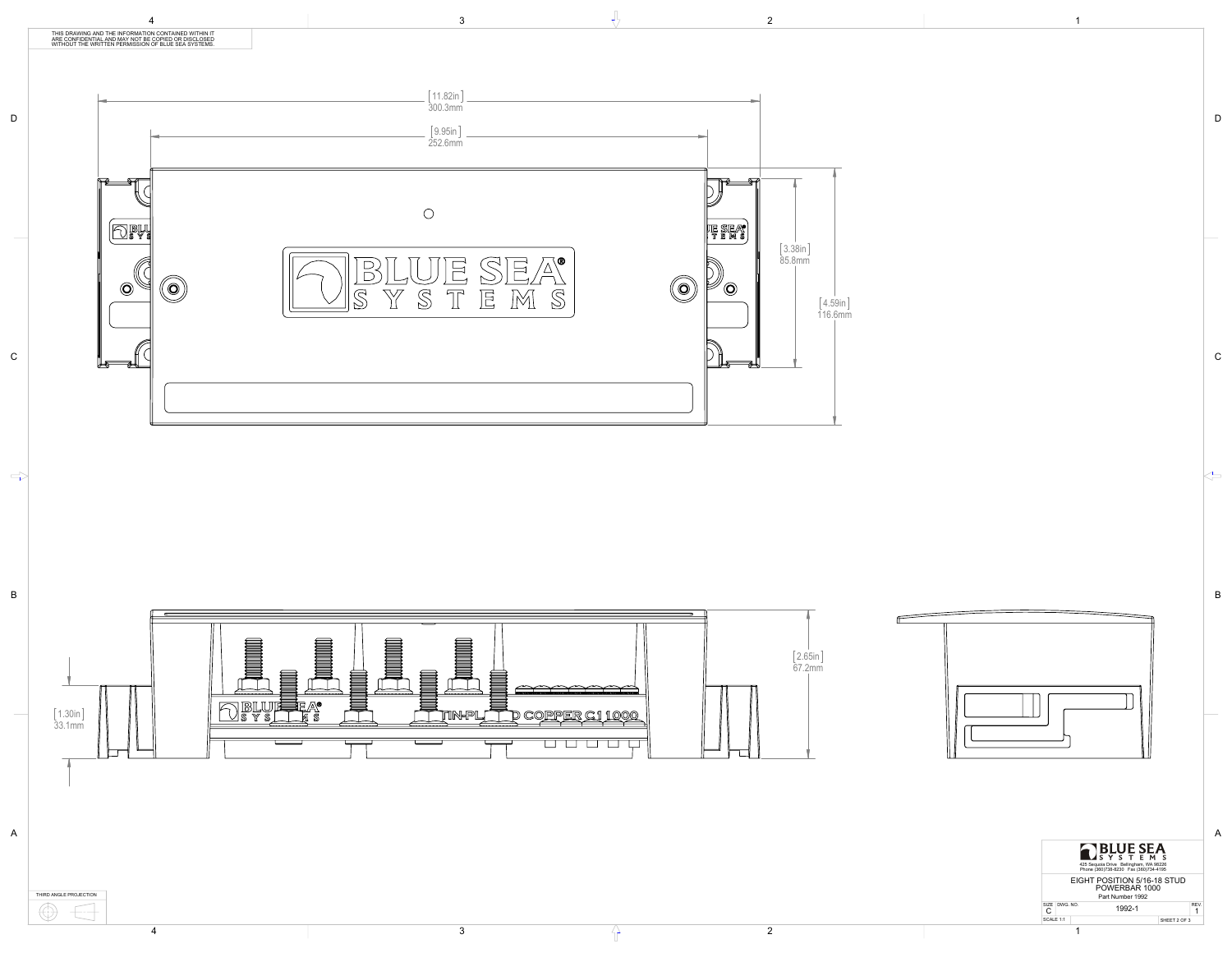

B

 $\left\langle \right\rangle$ 

C

D





THIRD ANGLE PROJECTION ----